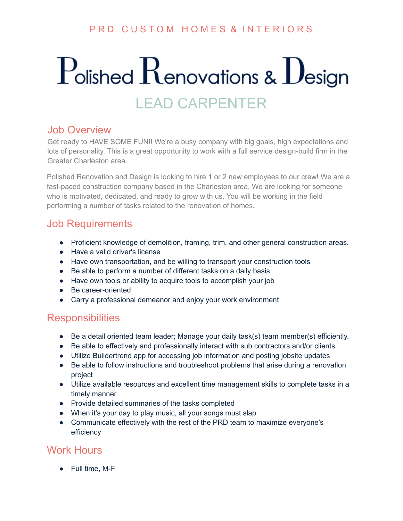### PRD CUSTOM HOMES & INTERIORS

# $P$ olished  $R$ enovations &  $D$ esign LEAD CARPENTER

#### Job Overview

Get ready to HAVE SOME FUN!! We're a busy company with big goals, high expectations and lots of personality. This is a great opportunity to work with a full service design-build firm in the Greater Charleston area.

Polished Renovation and Design is looking to hire 1 or 2 new employees to our crew! We are a fast-paced construction company based in the Charleston area. We are looking for someone who is motivated, dedicated, and ready to grow with us. You will be working in the field performing a number of tasks related to the renovation of homes.

### Job Requirements

- Proficient knowledge of demolition, framing, trim, and other general construction areas.
- Have a valid driver's license
- Have own transportation, and be willing to transport your construction tools
- Be able to perform a number of different tasks on a daily basis
- Have own tools or ability to acquire tools to accomplish your job
- Be career-oriented
- Carry a professional demeanor and enjoy your work environment

### **Responsibilities**

- Be a detail oriented team leader; Manage your daily task(s) team member(s) efficiently.
- Be able to effectively and professionally interact with sub contractors and/or clients.
- Utilize Buildertrend app for accessing job information and posting jobsite updates
- Be able to follow instructions and troubleshoot problems that arise during a renovation project
- Utilize available resources and excellent time management skills to complete tasks in a timely manner
- Provide detailed summaries of the tasks completed
- When it's your day to play music, all your songs must slap
- Communicate effectively with the rest of the PRD team to maximize everyone's efficiency

### Work Hours

● Full time, M-F